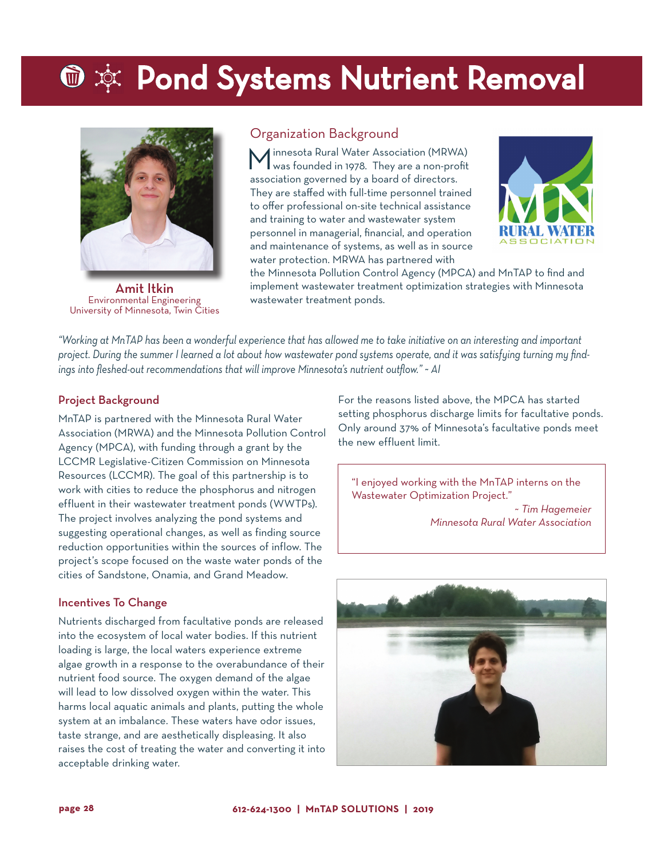# **⑩ ※ Pond Systems Nutrient Removal**



Amit Itkin Environmental Engineering University of Minnesota, Twin Cities

## Organization Background

Minnesota Rural Water Association (MRWA) was founded in 1978. They are a non-profit association governed by a board of directors. They are staffed with full-time personnel trained to offer professional on-site technical assistance and training to water and wastewater system personnel in managerial, financial, and operation and maintenance of systems, as well as in source water protection. MRWA has partnered with



the Minnesota Pollution Control Agency (MPCA) and MnTAP to find and implement wastewater treatment optimization strategies with Minnesota wastewater treatment ponds.

*"Working at MnTAP has been a wonderful experience that has allowed me to take initiative on an interesting and important project. During the summer I learned a lot about how wastewater pond systems operate, and it was satisfying turning my findings into fleshed-out recommendations that will improve Minnesota's nutrient outflow." ~ AI*

### Project Background

MnTAP is partnered with the Minnesota Rural Water Association (MRWA) and the Minnesota Pollution Control Agency (MPCA), with funding through a grant by the LCCMR Legislative-Citizen Commission on Minnesota Resources (LCCMR). The goal of this partnership is to work with cities to reduce the phosphorus and nitrogen effluent in their wastewater treatment ponds (WWTPs). The project involves analyzing the pond systems and suggesting operational changes, as well as finding source reduction opportunities within the sources of inflow. The project's scope focused on the waste water ponds of the cities of Sandstone, Onamia, and Grand Meadow.

#### Incentives To Change

Nutrients discharged from facultative ponds are released into the ecosystem of local water bodies. If this nutrient loading is large, the local waters experience extreme algae growth in a response to the overabundance of their nutrient food source. The oxygen demand of the algae will lead to low dissolved oxygen within the water. This harms local aquatic animals and plants, putting the whole system at an imbalance. These waters have odor issues, taste strange, and are aesthetically displeasing. It also raises the cost of treating the water and converting it into acceptable drinking water.

For the reasons listed above, the MPCA has started setting phosphorus discharge limits for facultative ponds. Only around 37% of Minnesota's facultative ponds meet the new effluent limit.

"I enjoyed working with the MnTAP interns on the Wastewater Optimization Project." *~ Tim Hagemeier Minnesota Rural Water Association*